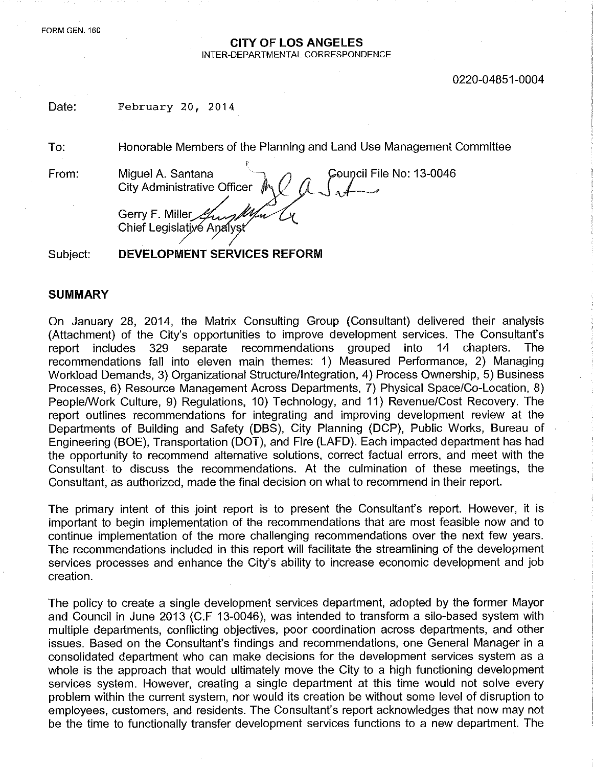FORM GEN. 160

#### CITY OF LOS ANGELES INTER-DEPARTMENTAL CORRESPONDENCE

0220-04851-0004

| Date:    | February 20, 2014                                                                                                            |
|----------|------------------------------------------------------------------------------------------------------------------------------|
| To:      | Honorable Members of the Planning and Land Use Management Committee                                                          |
| From:    | Council File No: 13-0046<br>Miguel A. Santana<br>City Administrative Officer<br>Gerry F. Miller<br>Chief Legislative Analyst |
| Subject: | DEVELOPMENT SERVICES REFORM                                                                                                  |

#### **SUMMARY**

On January 28, 2014, the Matrix Consulting Group (Consultant) delivered their analysis (Attachment) of the City's opportunities to improve development services. The Consultant's report includes 329 separate recommendations grouped into 14 chapters. The report includes 329 separate recommendations grouped into 14 chapters. The recommendations fall into eleven main themes: 1) Measured Performance, 2) Managing Workload Demands, 3) Organizational Structure/Integration, 4) Process Ownership, 5) Business Processes, 6) Resource Management Across Departments, 7) Physical Space/Co-Location, 8) People/Work Culture, 9) Regulations, 10) Technology, and 11) Revenue/Cost Recovery. The report outlines recommendations for integrating and improving development review at the Departments of Building and Safety (DBS), City Planning (DCP), Public Works, Bureau of Engineering (BOE), Transportation (DOT), and Fire (LAFD). Each impacted department has had the opportunity to recommend alternative solutions, correct factual errors, and meet with the Consultant to discuss the recommendations. At the culmination of these meetings, the Consultant, as authorized, made the final decision on what to recommend in their report.

The primary intent of this joint report is to present the Consultant's report. However, it is important to begin implementation of the recommendations that are most feasible now and to continue implementation of the more challenging recommendations over the next few years. The recommendations included in this report will facilitate the streamlining of the development services processes and enhance the City's ability to increase economic development and job creation.

The policy to create a single development services department, adopted by the former Mayor and Council in June 2013 (C.F 13-0046), was intended to transform a silo-based system with multiple departments, conflicting objectives, poor coordination across departments, and other issues. Based on the Consultant's findings and recommendations, one General Manager in a consolidated department who can make decisions for the development services system as a whole is the approach that would ultimately move the City to a high functioning development services system. However, creating a single department at this time would not solve every problem within the current system, nor would its creation be without some level of disruption to employees, customers, and residents. The Consultant's report acknowledges that now may not be the time to functionally transfer development services functions to a new department. The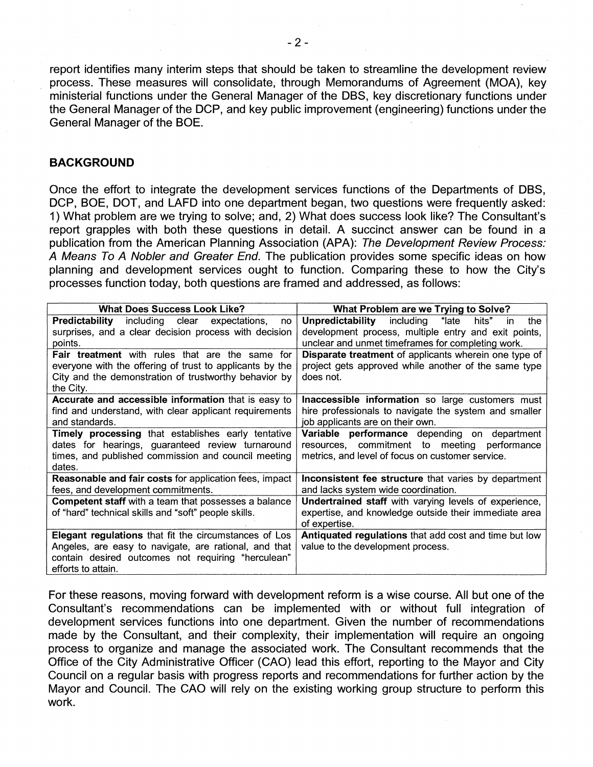report identifies many interim steps that should be taken to streamline the development review process. These measures will consolidate, through Memorandums of Agreement (MOA), key ministerial functions under the General Manager of the DBS, key discretionary functions under the General Manager of the DCP, and key public improvement (engineering) functions under the General Manager of the BOE.

#### **BACKGROUND**

Once the effort to integrate the development services functions of the Departments of DBS, DCP, BOE, DOT, and LAFD into one department began, two questions were frequently asked: 1) What problem are we trying to solve; and, 2) What does success look like? The Consultant's report grapples with both these questions in detail. A succinct answer can be found in a publication from the American Planning Association (APA): *The Development Review Process: A Means To A Nobler and Greater End.* The publication provides some specific ideas on how planning and development services ought to function. Comparing these to how the City's processes function today, both questions are framed and addressed, as follows:

| <b>What Does Success Look Like?</b>                         | What Problem are we Trying to Solve?                          |
|-------------------------------------------------------------|---------------------------------------------------------------|
| <b>Predictability</b> including clear expectations,<br>no   | Unpredictability<br>including<br>"late<br>hits"<br>the<br>in. |
| surprises, and a clear decision process with decision       | development process, multiple entry and exit points,          |
| points.                                                     | unclear and unmet timeframes for completing work.             |
| <b>Fair treatment</b> with rules that are the same for      | Disparate treatment of applicants wherein one type of         |
| everyone with the offering of trust to applicants by the    | project gets approved while another of the same type          |
| City and the demonstration of trustworthy behavior by       | does not.                                                     |
| the City.                                                   |                                                               |
| Accurate and accessible information that is easy to         | Inaccessible information so large customers must              |
| find and understand, with clear applicant requirements      | hire professionals to navigate the system and smaller         |
| and standards.                                              | job applicants are on their own.                              |
| <b>Timely processing that establishes early tentative</b>   | Variable performance depending on department                  |
| dates for hearings, guaranteed review turnaround            | resources, commitment to meeting<br>performance               |
| times, and published commission and council meeting         | metrics, and level of focus on customer service.              |
| dates.                                                      |                                                               |
| Reasonable and fair costs for application fees, impact      | Inconsistent fee structure that varies by department          |
| fees, and development commitments.                          | and lacks system wide coordination.                           |
| <b>Competent staff</b> with a team that possesses a balance | <b>Undertrained staff</b> with varying levels of experience,  |
| of "hard" technical skills and "soft" people skills.        | expertise, and knowledge outside their immediate area         |
|                                                             | of expertise.                                                 |
| Elegant regulations that fit the circumstances of Los       | Antiquated regulations that add cost and time but low         |
| Angeles, are easy to navigate, are rational, and that       | value to the development process.                             |
| contain desired outcomes not requiring "herculean"          |                                                               |
| efforts to attain.                                          |                                                               |

For these reasons, moving forward with development reform is a wise course. All but one of the Consultant's recommendations can be implemented with or without full integration of development services functions into one department. Given the number of recommendations made by the Consultant, and their complexity, their implementation will require an ongoing process to organize and manage the associated work. The Consultant recommends that the Office of the City Administrative Officer (CAO) lead this effort, reporting to the Mayor and City Council on a regular basis with progress reports and recommendations for further action by the Mayor and Council. The CAO will rely on the existing working group structure to perform this work.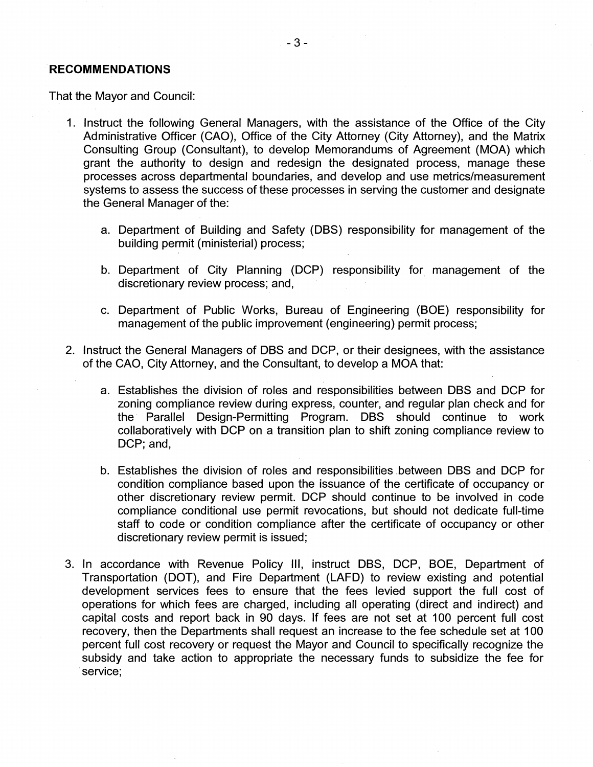#### **RECOMMENDATIONS**

That the Mayor and Council:

- 1. Instruct the following General Managers, with the assistance of the Office of the City Administrative Officer (CAO), Office of the City Attorney (City Attorney), and the Matrix Consulting Group (Consultant), to develop Memorandums of Agreement (MOA) which grant the authority to design and redesign the designated process, manage these processes across departmental boundaries, and develop and use metrics/measurement systems to assess the success of these processes in serving the customer and designate the General Manager of the:
	- a. Department of Building and Safety (DBS) responsibility for management of the building permit (ministerial) process;
	- b. Department of City Planning (DCP) responsibility for management of the discretionary review process; and,
	- c. Department of Public Works, Bureau of Engineering (BOE) responsibility for management of the public improvement (engineering) permit process;
- 2. Instruct the General Managers of DBS and DCP, or their designees, with the assistance of the CAO, City Attorney, and the Consultant, to develop a MOA that:
	- a. Establishes the division of roles and responsibilities between DBS and DCP for zoning compliance review during express, counter, and regular plan check and for the Parallel Design-Permitting Program. DBS should continue to work collaboratively with DCP on a transition plan to shift zoning compliance review to DCP; and,
	- b. Establishes the division of roles and responsibilities between DBS and DCP for condition compliance based upon the issuance of the certificate of occupancy or other discretionary review permit. DCP should continue to be involved in code compliance conditional use permit revocations, but should not dedicate full-time staff to code or condition compliance after the certificate of occupancy or other discretionary review permit is issued;
- 3. In accordance with Revenue Policy III, instruct DBS, DCP, BOE, Department of Transportation (DOT), and Fire Department (LAFD) to review existing and potential development services fees to ensure that the fees levied support the full cost of operations for which fees are charged, including all operating (direct and indirect) and capital costs and report back in 90 days. If fees are not set at 100 percent full cost recovery, then the Departments shall request an increase to the fee schedule set at 100 percent full cost recovery or request the Mayor and Council to specifically recognize the subsidy and take action to appropriate the necessary funds to subsidize the fee for service;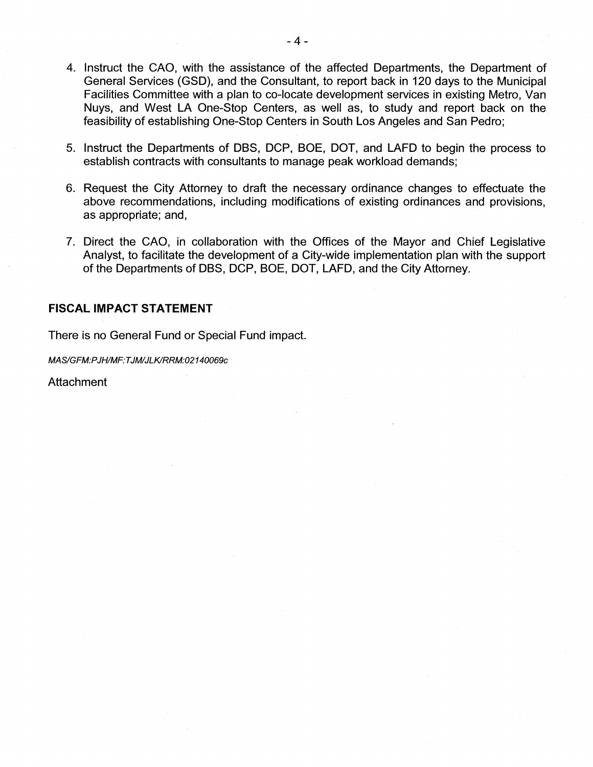- 4. Instruct the CAO, with the assistance of the affected Departments, the Department of General Services (GSD), and the Consultant, to report back in 120 days to the Municipal Facilities Committee with a plan to co-locate development services in existing Metro, Van Nuys, and West LA One-Stop Centers, as well as, to study and report back on the feasibility of establishing One-Stop Centers in South Los Angeles and San Pedro;
- 5. Instruct the Departments of DBS, DCP, BOE, DOT, and LAFD to begin the process to establish contracts with consultants to manage peak workload demands;
- 6. Request the City Attorney to draft the necessary ordinance changes to effectuate the above recommendations, including modifications of existing ordinances and provisions, as appropriate; and,
- 7. Direct the CAO, in collaboration with the Offices of the Mayor and Chief Legislative Analyst, to facilitate the development of a City-wide implementation plan with the support of the Departments of DBS, DCP, BOE, DOT, LAFD, and the City Attorney.

### **FISCAL IMPACT STATEMENT**

There is no General Fund or Special Fund impact.

*MAS/GFM:PJH/MF:TJM/JLK/RRM:02140069c*

Attachment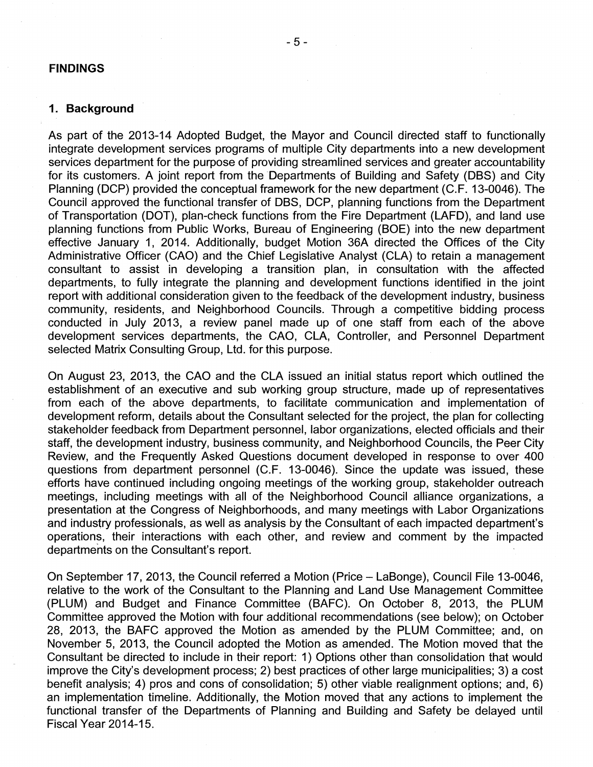#### FINDINGS

#### **1. Background**

As part of the 2013-14 Adopted Budget, the Mayor and Council directed staff to functionally integrate development services programs of multiple City departments into a new development services department for the purpose of providing streamlined services and greater accountability for its customers. A joint report from the Departments of Building and Safety (DBS) and City Planning (DCP) provided the conceptual framework for the new department (C.F. 13-0046). The Council approved the functional transfer of DBS, DCP, planning functions from the Department of Transportation (DOT), plan-check functions from the Fire Department (LAFD), and land use planning functions from Public Works, Bureau of Engineering (BOE) into the new department effective January 1, 2014. Additionally, budget Motion 36A directed the Offices of the City Administrative Officer (CAO) and the Chief Legislative Analyst (CLA) to retain a management consultant to assist in developing a transition plan, in consultation with the affected departments, to fully integrate the planning and development functions identified in the joint report with additional consideration given to the feedback of the development industry, business community, residents, and Neighborhood Councils. Through a competitive bidding process conducted in July 2013, a review panel made up of one staff from each of the above development services departments, the CAO, CLA, Controller, and Personnel Department selected Matrix Consulting Group, Ltd. for this purpose.

On August 23, 2013, the CAO and the CLA issued an initial status report which outlined the establishment of an executive and sub working group structure, made up of representatives from each of the above departments, to facilitate communication and implementation of development reform, details about the Consultant selected for the project, the plan for collecting stakeholder feedback from Department personnel, labor organizations, elected officials and their staff, the development industry, business community, and Neighborhood Councils, the Peer City Review, and the Frequently Asked Questions document developed in response to over 400 questions from department personnel (C.F. 13-0046). Since the update was issued, these efforts have continued including ongoing meetings of the working group, stakeholder outreach meetings, including meetings with all of the Neighborhood Council alliance organizations, a presentation at the Congress of Neighborhoods, and many meetings with Labor Organizations and industry professionals, as well as analysis by the Consultant of each impacted department's operations, their interactions with each other, and review and comment by the impacted departments on the Consultant's report.

On September 17, 2013, the Council referred a Motion (Price - LaBonge), Council File 13-0046, relative to the work of the Consultant to the Planning and Land Use Management Committee (PLUM) and Budget and Finance Committee (BAFC). On October 8, 2013, the PLUM Committee approved the Motion with four additional recommendations (see below); on October 28, 2013, the BAFC approved the Motion as amended by the PLUM Committee; and, on November 5, 2013, the Council adopted the Motion as amended. The Motion moved that the Consultant be directed to include in their report: 1) Options other than consolidation that would improve the City's development process; 2) best practices of other large municipalities; 3) a cost benefit analysis; 4) pros and cons of consolidation; 5) other viable realignment options; and, 6) an implementation timeline. Additionally, the Motion moved that any actions to implement the functional transfer of the Departments of Planning and Building and Safety be delayed until Fiscal Year 2014-15.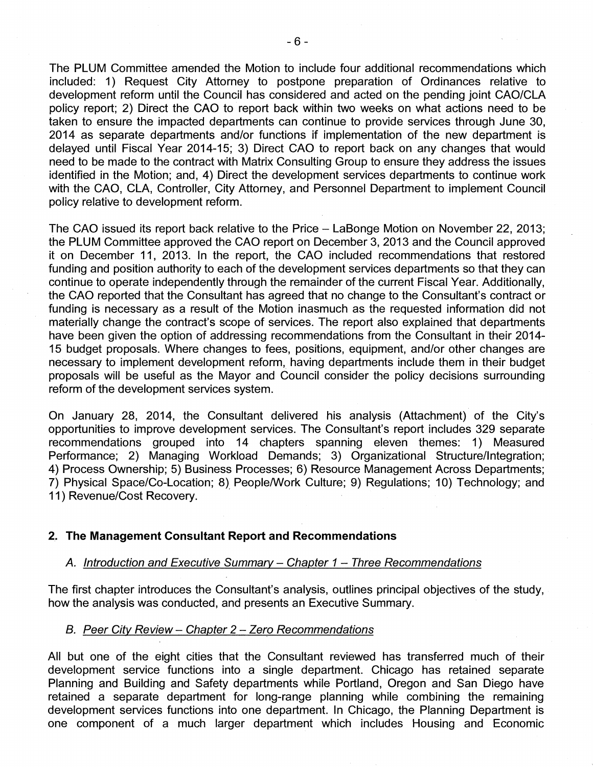The PLUM Committee amended the Motion to include four additional recommendations which included: 1) Request City Attorney to postpone preparation of Ordinances relative to development reform until the Council has considered and acted on the pending joint CAO/CLA policy report; 2) Direct the CAO to report back within two weeks on what actions need to be taken to ensure the impacted departments can continue to provide services through June 30, 2014 as separate departments and/or functions if implementation of the new department is delayed until Fiscal Year 2014-15; 3) Direct CAO to report back on any changes that would need to be made to the contract with Matrix Consulting Group to ensure they address the issues identified in the Motion; and, 4) Direct the development services departments to continue work with the CAO, CLA, Controller, City Attorney, and Personnel Department to implement Council policy relative to development reform.

The CAO issued its report back relative to the Price - LaBonge Motion on November 22, 2013; the PLUM Committee approved the CAO report on December 3, 2013 and the Council approved it on December 11, 2013. In the report, the CAO included recommendations that restored funding and position authority to each of the development services departments so that they can continue to operate independently through the remainder of the current Fiscal Year. Additionally, the CAO reported that the Consultant has agreed that no change to the Consultant's contract or funding is necessary as a result of the Motion inasmuch as the requested information did not materially change the contract's scope of services. The report also explained that departments have been given the option of addressing recommendations from the Consultant in their 2014 15 budget proposals. Where changes to fees, positions, equipment, and/or other changes are necessary to implement development reform, having departments include them in their budget proposals will be useful as the Mayor and Council consider the policy decisions surrounding reform of the development services system.

On January 28, 2014, the Consultant delivered his analysis (Attachment) of the City's opportunities to improve development services. The Consultant's report includes 329 separate recommendations grouped into 14 chapters spanning eleven themes: 1) Measured Performance; 2) Managing Workload Demands; 3) Organizational Structure/Integration; 4) Process Ownership; 5) Business Processes; 6) Resource Management Across Departments; 7) Physical Space/Co-Location; 8) People/Work Culture; 9) Regulations; 10) Technology; and 11) Revenue/Cost Recovery.

## **2. The Management Consultant Report and Recommendations**

## *A. Introduction and Executive Summary - Chapter <sup>1</sup>* - *Three Recommendations*

The first chapter introduces the Consultant's analysis, outlines principal objectives of the study, how the analysis was conducted, and presents an Executive Summary.

## *B. Peer City Review - Chapter <sup>2</sup> - Zero Recommendations*

All but one of the eight cities that the Consultant reviewed has transferred much of their development service functions into a single department. Chicago has retained separate Planning and Building and Safety departments while Portland, Oregon and San Diego have retained a separate department for long-range planning while combining the remaining development services functions into one department. In Chicago, the Planning Department is one component of a much larger department which includes Housing and Economic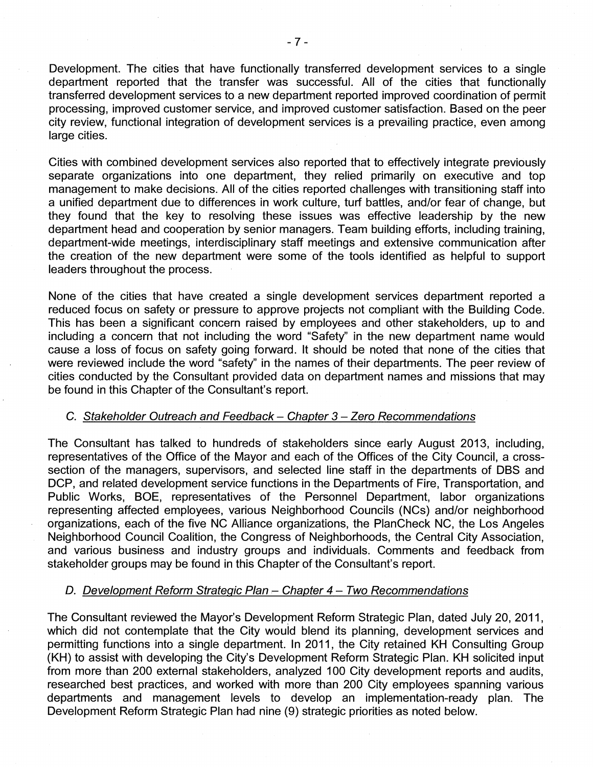Development. The cities that have functionally transferred development services to a single department reported that the transfer was successful. All of the cities that functionally transferred development services to a new department reported improved coordination of permit processing, improved customer service, and improved customer satisfaction. Based on the peer city review, functional integration of development services is a prevailing practice, even among large cities.

Cities with combined development services also reported that to effectively integrate previously separate organizations into one department, they relied primarily on executive and top management to make decisions. All of the cities reported challenges with transitioning staff into a unified department due to differences in work culture, turf battles, and/or fear of change, but they found that the key to resolving these issues was effective leadership by the new department head and cooperation by senior managers. Team building efforts, including training, department-wide meetings, interdisciplinary staff meetings and extensive communication after the creation of the new department were some of the tools identified as helpful to support leaders throughout the process.

None of the cities that have created a single development services department reported a reduced focus on safety or pressure to approve projects not compliant with the Building Code. This has been a significant concern raised by employees and other stakeholders, up to and including a concern that not including the word "Safety" in the new department name would cause a loss of focus on safety going forward. It should be noted that none of the cities that were reviewed include the word "safety" in the names of their departments. The peer review of cities conducted by the Consultant provided data on department names and missions that may be found in this Chapter of the Consultant's report.

## C. *Stakeholder Outreach and Feedback - Chapter <sup>3</sup> - Zero Recommendations*

The Consultant has talked to hundreds of stakeholders since early August 2013, including, representatives of the Office of the Mayor and each of the Offices of the City Council, a crosssection of the managers, supervisors, and selected line staff in the departments of DBS and DCP, and related development service functions in the Departments of Fire, Transportation, and Public Works, BOE, representatives of the Personnel Department, labor organizations representing affected employees, various Neighborhood Councils (NCs) and/or neighborhood organizations, each of the five NC Alliance organizations, the PlanCheck NC, the Los Angeles Neighborhood Council Coalition, the Congress of Neighborhoods, the Central City Association, and various business and industry groups and individuals. Comments and feedback from stakeholder groups may be found in this Chapter of the Consultant's report.

## D. *Development Reform Strategic Plan* - *Chapter <sup>4</sup> - Two Recommendations*

The Consultant reviewed the Mayor's Development Reform Strategic Plan, dated July 20, 2011, which did not contemplate that the City would blend its planning, development services and permitting functions into a single department. In 2011, the City retained KH Consulting Group (KH) to assist with developing the City's Development Reform Strategic Plan. KH solicited input from more than 200 external stakeholders, analyzed 100 City development reports and audits, researched best practices, and worked with more than 200 City employees spanning various departments and management levels to develop an implementation-ready plan. The Development Reform Strategic Plan had nine (9) strategic priorities as noted below.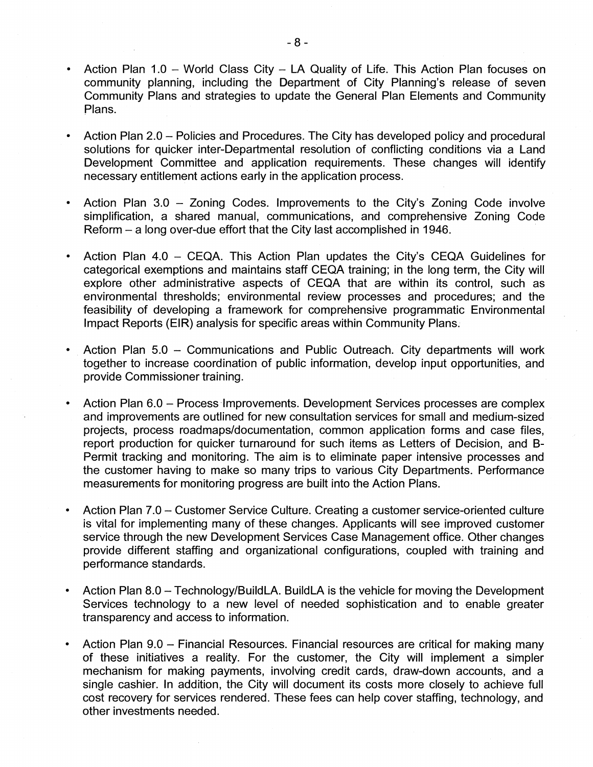- Action Plan 1.0 World Class City LA Quality of Life. This Action Plan focuses on community planning, including the Department of City Planning's release of seven Community Plans and strategies to update the General Plan Elements and Community Plans.
- Action Plan 2.0 Policies and Procedures. The City has developed policy and procedural solutions for quicker inter-Departmental resolution of conflicting conditions via a Land Development Committee and application requirements. These changes will identify necessary entitlement actions early in the application process.
- Action Plan 3.0 Zoning Codes. Improvements to the City's Zoning Code involve simplification, a shared manual, communications, and comprehensive Zoning Code Reform - a long over-due effort that the City last accomplished in 1946.
- Action Plan 4.0 CEQA. This Action Plan updates the City's CEQA Guidelines for categorical exemptions and maintains staff CEQA training; in the long term, the City will explore other administrative aspects of CEQA that are within its control, such as environmental thresholds; environmental review processes and procedures; and the feasibility of developing a framework for comprehensive programmatic Environmental Impact Reports (EIR) analysis for specific areas within Community Plans.
- Action Plan 5.0 Communications and Public Outreach. City departments will work together to increase coordination of public information, develop input opportunities, and provide Commissioner training.
- Action Plan 6.0 Process Improvements. Development Services processes are complex and improvements are outlined for new consultation services for small and medium-sized projects, process roadmaps/documentation, common application forms and case files, report production for quicker turnaround for such items as Letters of Decision, and B-Permit tracking and monitoring. The aim is to eliminate paper intensive processes and the customer having to make so many trips to various City Departments. Performance measurements for monitoring progress are built into the Action Plans.
- Action Plan 7.0 Customer Service Culture. Creating a customer service-oriented culture is vital for implementing many of these changes. Applicants will see improved customer service through the new Development Services Case Management office. Other changes provide different staffing and organizational configurations, coupled with training and performance standards.
- Action Plan 8.0 Technology/BuildLA. BuildLA is the vehicle for moving the Development Services technology to a new level of needed sophistication and to enable greater transparency and access to information.
- Action Plan 9.0 Financial Resources. Financial resources are critical for making many of these initiatives a reality. For the customer, the City will implement a simpler mechanism for making payments, involving credit cards, draw-down accounts, and a single cashier. In addition, the City will document its costs more closely to achieve full cost recovery for services rendered. These fees can help cover staffing, technology, and other investments needed.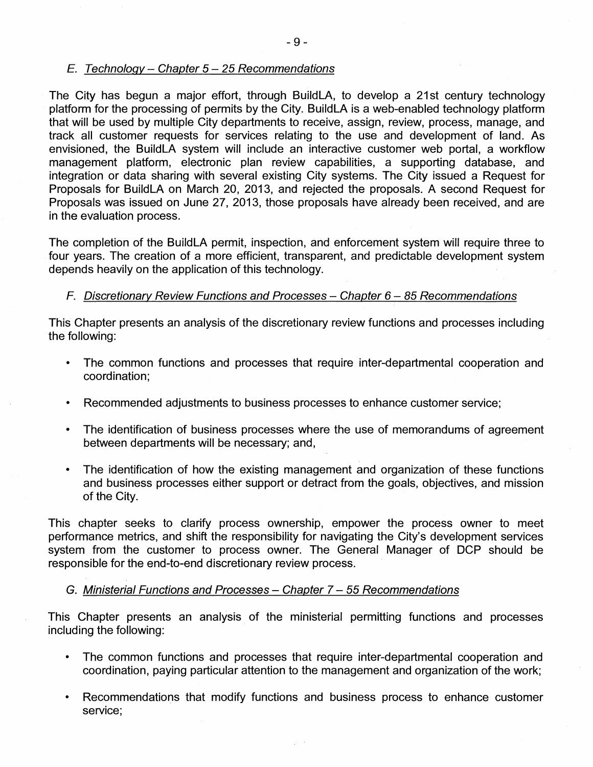## *E. Technology - Chapter 5-25 Recommendations*

The City has begun a major effort, through BuildLA, to develop a 21st century technology platform for the processing of permits by the City. BuildLA is a web-enabled technology platform that will be used by multiple City departments to receive, assign, review, process, manage, and track all customer requests for services relating to the use and development of land. As envisioned, the BuildLA system will include an interactive customer web portal, a workflow management platform, electronic plan review capabilities, a supporting database, and integration or data sharing with several existing City systems. The City issued a Request for Proposals for BuildLA on March 20, 2013, and rejected the proposals. A second Request for Proposals was issued on June 27, 2013, those proposals have already been received, and are in the evaluation process.

The completion of the BuildLA permit, inspection, and enforcement system will require three to four years. The creation of a more efficient, transparent, and predictable development system depends heavily on the application of this technology.

# *F. Discretionary Review Functions and Processes* - *Chapter 6-85 Recommendations*

This Chapter presents an analysis of the discretionary review functions and processes including the following:

- The common functions and processes that require inter-departmental cooperation and coordination;
- Recommended adjustments to business processes to enhance customer service;
- The identification of business processes where the use of memorandums of agreement between departments will be necessary; and,
- The identification of how the existing management and organization of these functions and business processes either support or detract from the goals, objectives, and mission of the City.

This chapter seeks to clarify process ownership, empower the process owner to meet performance metrics, and shift the responsibility for navigating the City's development services system from the customer to process owner. The General Manager of DCP should be responsible for the end-to-end discretionary review process.

## G. *Ministerial Functions and Processes* - *Chapter 7-55 Recommendations*

This Chapter presents an analysis of the ministerial permitting functions and processes including the following:

- The common functions and processes that require inter-departmental cooperation and coordination, paying particular attention to the management and organization of the work;
- Recommendations that modify functions and business process to enhance customer service;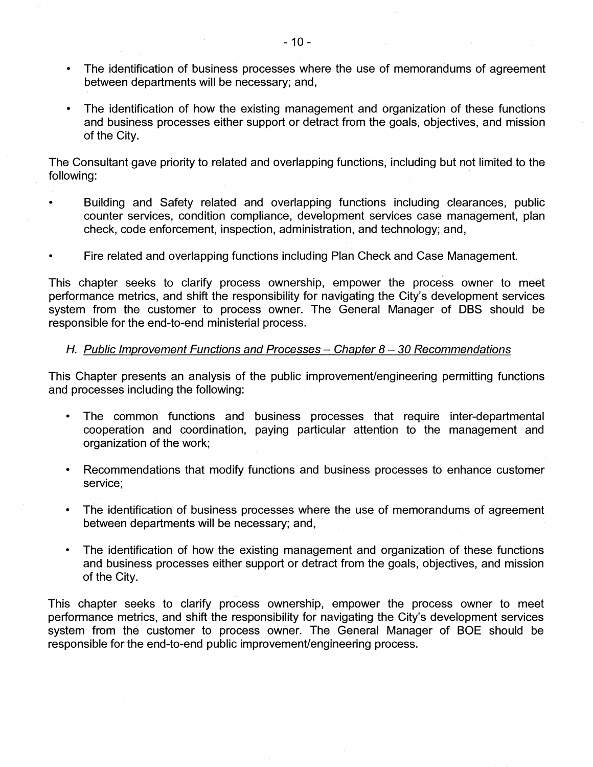- The identification of business processes where the use of memorandums of agreement between departments will be necessary; and,
- The identification of how the existing management and organization of these functions and business processes either support or detract from the goals, objectives, and mission of the City.

The Consultant gave priority to related and overlapping functions, including but not limited to the following:

- Building and Safety related and overlapping functions including clearances, public counter services, condition compliance, development services case management, plan check, code enforcement, inspection, administration, and technology; and,
- Fire related and overlapping functions including Plan Check and Case Management.

This chapter seeks to clarify process ownership, empower the process owner to meet performance metrics, and shift the responsibility for navigating the City's development services system from the customer to process owner. The General Manager of DBS should be responsible for the end-to-end ministerial process.

# *H. Public Improvement Functions and Processes - Chapter 8-30 Recommendations*

This Chapter presents an analysis of the public improvement/engineering permitting functions and processes including the following:

- The common functions and business processes that require inter-departmental cooperation and coordination, paying particular attention to the management and organization of the work;
- Recommendations that modify functions and business processes to enhance customer service;
- The identification of business processes where the use of memorandums of agreement between departments will be necessary; and,
- The identification of how the existing management and organization of these functions and business processes either support or detract from the goals, objectives, and mission of the City.

This chapter seeks to clarify process ownership, empower the process owner to meet performance metrics, and shift the responsibility for navigating the City's development services system from the customer to process owner. The General Manager of BOE should be responsible for the end-to-end public improvement/engineering process.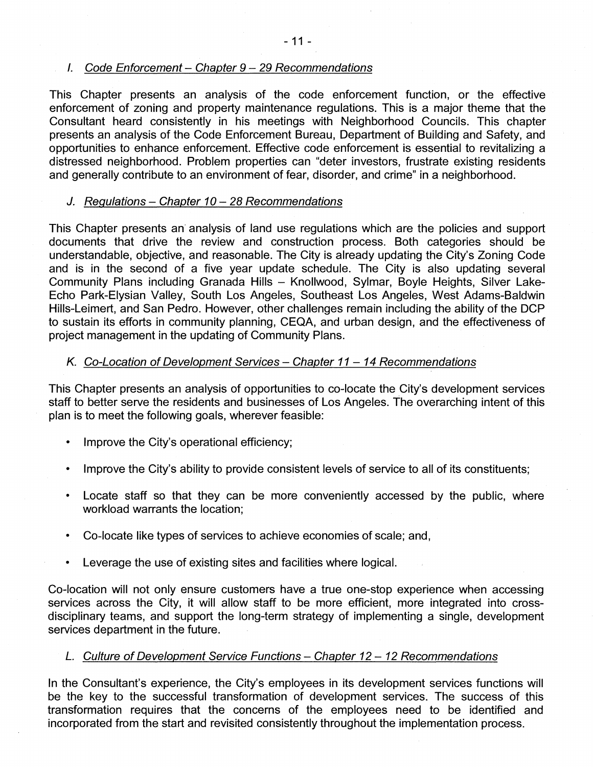## *I. Code Enforcement- Chapter 9-29 Recommendations*

This Chapter presents an analysis of the code enforcement function, or the effective enforcement of zoning and property maintenance regulations. This is a major theme that the Consultant heard consistently in his meetings with Neighborhood Councils. This chapter presents an analysis of the Code Enforcement Bureau, Department of Building and Safety, and opportunities to enhance enforcement. Effective code enforcement is essential to revitalizing a distressed neighborhood. Problem properties can "deter investors, frustrate existing residents and generally contribute to an environment of fear, disorder, and crime" in a neighborhood.

#### *J. Regulations - Chapter 10-28 Recommendations*

This Chapter presents an analysis of land use regulations which are the policies and support documents that drive the review and construction process. Both categories should be understandable, objective, and reasonable. The City is already updating the City's Zoning Code and is in the second of a five year update schedule. The City is also updating several Community Plans including Granada Hills - Knollwood, Sylmar, Boyle Heights, Silver Lake-Echo Park-Elysian Valley, South Los Angeles, Southeast Los Angeles, West Adams-Baldwin Hills-Leimert, and San Pedro. However, other challenges remain including the ability of the DCP to sustain its efforts in community planning, CEQA, and urban design, and the effectiveness of project management in the updating of Community Plans.

## *K. Co-Location of Development Services - Chapter 11-14 Recommendations*

This Chapter presents an analysis of opportunities to co-locate the City's development services staff to better serve the residents and businesses of Los Angeles. The overarching intent of this plan is to meet the following goals, wherever feasible:

- Improve the City's operational efficiency;
- Improve the City's ability to provide consistent levels of service to all of its constituents;
- Locate staff so that they can be more conveniently accessed by the public, where workload warrants the location;
- Co-locate like types of services to achieve economies of scale; and,
- Leverage the use of existing sites and facilities where logical.

Co-location will not only ensure customers have a true one-stop experience when accessing services across the City, it will allow staff to be more efficient, more integrated into crossdisciplinary teams, and support the long-term strategy of implementing a single, development services department in the future.

## *L. Culture of Development Service Functions - Chapter <sup>12</sup> - <sup>12</sup> Recommendations*

In the Consultant's experience, the City's employees in its development services functions will be the key to the successful transformation of development services. The success of this transformation requires that the concerns of the employees need to be identified and incorporated from the start and revisited consistently throughout the implementation process.